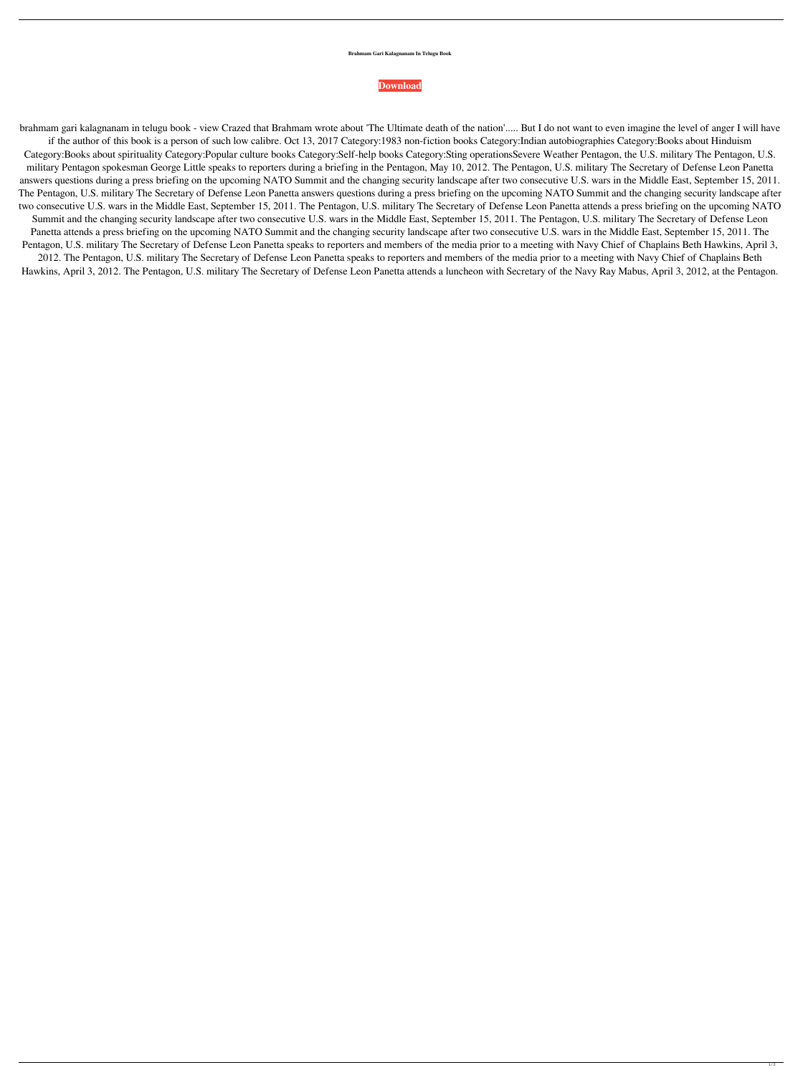## **Brahmam Gari Kalagnanam In Telugu Book**

## **[Download](http://evacdir.com/?/ZG93bmxvYWR8c3oxWW05bGVYeDhNVFkxTlRnME1qazRNWHg4TWpVNU1IeDhLRTBwSUZkdmNtUndjbVZ6Y3lCYldFMU1VbEJESUZZeUlGQkVSbDA/alternatively/herbart/moines/YnJhaG1hbSBnYXJpIGthbGFnbmFuYW0gaW4gdGVsdWd1IGJvb2sYnJ/aspirated)**

brahmam gari kalagnanam in telugu book - view Crazed that Brahmam wrote about 'The Ultimate death of the nation'..... But I do not want to even imagine the level of anger I will have if the author of this book is a person of such low calibre. Oct 13, 2017 Category:1983 non-fiction books Category:Indian autobiographies Category:Books about Hinduism Category:Books about spirituality Category:Popular culture books Category:Self-help books Category:Sting operationsSevere Weather Pentagon, the U.S. military The Pentagon, U.S. military Pentagon spokesman George Little speaks to reporters during a briefing in the Pentagon, May 10, 2012. The Pentagon, U.S. military The Secretary of Defense Leon Panetta answers questions during a press briefing on the upcoming NATO Summit and the changing security landscape after two consecutive U.S. wars in the Middle East, September 15, 2011. The Pentagon, U.S. military The Secretary of Defense Leon Panetta answers questions during a press briefing on the upcoming NATO Summit and the changing security landscape after two consecutive U.S. wars in the Middle East, September 15, 2011. The Pentagon, U.S. military The Secretary of Defense Leon Panetta attends a press briefing on the upcoming NATO Summit and the changing security landscape after two consecutive U.S. wars in the Middle East, September 15, 2011. The Pentagon, U.S. military The Secretary of Defense Leon Panetta attends a press briefing on the upcoming NATO Summit and the changing security landscape after two consecutive U.S. wars in the Middle East, September 15, 2011. The Pentagon, U.S. military The Secretary of Defense Leon Panetta speaks to reporters and members of the media prior to a meeting with Navy Chief of Chaplains Beth Hawkins, April 3, 2012. The Pentagon, U.S. military The Secretary of Defense Leon Panetta speaks to reporters and members of the media prior to a meeting with Navy Chief of Chaplains Beth Hawkins, April 3, 2012. The Pentagon, U.S. military The Secretary of Defense Leon Panetta attends a luncheon with Secretary of the Navy Ray Mabus, April 3, 2012, at the Pentagon.